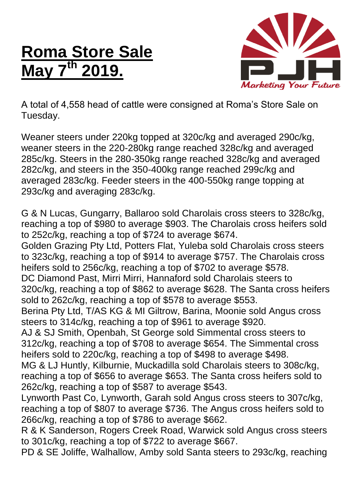## **Roma Store Sale May 7 th 2019.**



A total of 4,558 head of cattle were consigned at Roma's Store Sale on Tuesday.

Weaner steers under 220kg topped at 320c/kg and averaged 290c/kg, weaner steers in the 220-280kg range reached 328c/kg and averaged 285c/kg. Steers in the 280-350kg range reached 328c/kg and averaged 282c/kg, and steers in the 350-400kg range reached 299c/kg and averaged 283c/kg. Feeder steers in the 400-550kg range topping at 293c/kg and averaging 283c/kg.

G & N Lucas, Gungarry, Ballaroo sold Charolais cross steers to 328c/kg, reaching a top of \$980 to average \$903. The Charolais cross heifers sold to 252c/kg, reaching a top of \$724 to average \$674. Golden Grazing Pty Ltd, Potters Flat, Yuleba sold Charolais cross steers to 323c/kg, reaching a top of \$914 to average \$757. The Charolais cross heifers sold to 256c/kg, reaching a top of \$702 to average \$578. DC Diamond Past, Mirri Mirri, Hannaford sold Charolais steers to 320c/kg, reaching a top of \$862 to average \$628. The Santa cross heifers sold to 262c/kg, reaching a top of \$578 to average \$553. Berina Pty Ltd, T/AS KG & MI Giltrow, Barina, Moonie sold Angus cross steers to 314c/kg, reaching a top of \$961 to average \$920. AJ & SJ Smith, Openbah, St George sold Simmental cross steers to 312c/kg, reaching a top of \$708 to average \$654. The Simmental cross heifers sold to 220c/kg, reaching a top of \$498 to average \$498. MG & LJ Huntly, Kilburnie, Muckadilla sold Charolais steers to 308c/kg, reaching a top of \$656 to average \$653. The Santa cross heifers sold to 262c/kg, reaching a top of \$587 to average \$543. Lynworth Past Co, Lynworth, Garah sold Angus cross steers to 307c/kg, reaching a top of \$807 to average \$736. The Angus cross heifers sold to 266c/kg, reaching a top of \$786 to average \$662. R & K Sanderson, Rogers Creek Road, Warwick sold Angus cross steers to 301c/kg, reaching a top of \$722 to average \$667. PD & SE Joliffe, Walhallow, Amby sold Santa steers to 293c/kg, reaching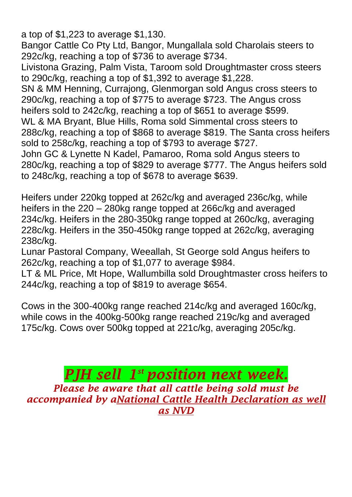a top of \$1,223 to average \$1,130.

Bangor Cattle Co Pty Ltd, Bangor, Mungallala sold Charolais steers to 292c/kg, reaching a top of \$736 to average \$734.

Livistona Grazing, Palm Vista, Taroom sold Droughtmaster cross steers to 290c/kg, reaching a top of \$1,392 to average \$1,228.

SN & MM Henning, Currajong, Glenmorgan sold Angus cross steers to 290c/kg, reaching a top of \$775 to average \$723. The Angus cross heifers sold to 242c/kg, reaching a top of \$651 to average \$599. WL & MA Bryant, Blue Hills, Roma sold Simmental cross steers to 288c/kg, reaching a top of \$868 to average \$819. The Santa cross heifers sold to 258c/kg, reaching a top of \$793 to average \$727. John GC & Lynette N Kadel, Pamaroo, Roma sold Angus steers to 280c/kg, reaching a top of \$829 to average \$777. The Angus heifers sold to 248c/kg, reaching a top of \$678 to average \$639.

Heifers under 220kg topped at 262c/kg and averaged 236c/kg, while heifers in the 220 – 280kg range topped at 266c/kg and averaged 234c/kg. Heifers in the 280-350kg range topped at 260c/kg, averaging 228c/kg. Heifers in the 350-450kg range topped at 262c/kg, averaging 238c/kg.

Lunar Pastoral Company, Weeallah, St George sold Angus heifers to 262c/kg, reaching a top of \$1,077 to average \$984.

LT & ML Price, Mt Hope, Wallumbilla sold Droughtmaster cross heifers to 244c/kg, reaching a top of \$819 to average \$654.

Cows in the 300-400kg range reached 214c/kg and averaged 160c/kg, while cows in the 400kg-500kg range reached 219c/kg and averaged 175c/kg. Cows over 500kg topped at 221c/kg, averaging 205c/kg.

*PJH sell 1 st position next week. Please be aware that all cattle being sold must be accompanied by aNational Cattle Health Declaration as well as NVD*